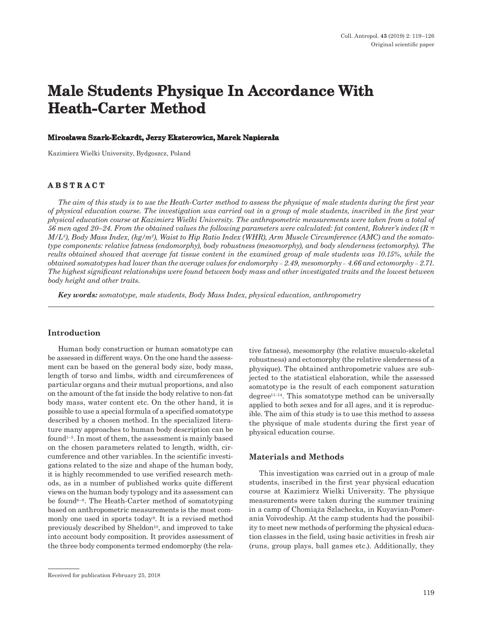# **Male Students Physique In Accordance With Heath-Carter Method**

#### **Mirosława Szark-Eckardt, Jerzy Eksterowicz, Marek Napierała**

Kazimierz Wielki University, Bydgoszcz, Poland

## **ABSTRACT**

*The aim of this study is to use the Heath-Carter method to assess the physique of male students during the first year of physical education course. The investigation was carried out in a group of male students, inscribed in the first year physical education course at Kazimierz Wielki University. The anthropometric measurements were taken from a total of 56 men aged 20–24. From the obtained values the following parameters were calculated: fat content, Rohrer's index (R = M/L3), Body Mass Index, (kg/m2), Waist to Hip Ratio Index (WHR), Arm Muscle Circumference (AMC) and the somatotype components: relative fatness (endomorphy), body robustness (mesomorphy), and body slenderness (ectomorphy). The reults obtained showed that average fat tissue content in the examined group of male students was 10.15%, while the obtained somatotypes had lower than the average values for endomorphy – 2.49, mesomorphy – 4.66 and ectomorphy – 2.71. The highest significant relationships were found between body mass and other investigated traits and the lowest between body height and other traits.*

*Key words: somatotype, male students, Body Mass Index, physical education, anthropometry*

#### **Introduction**

Human body construction or human somatotype can be assessed in different ways. On the one hand the assessment can be based on the general body size, body mass, length of torso and limbs, width and circumferences of particular organs and their mutual proportions, and also on the amount of the fat inside the body relative to non-fat body mass, water content etc. On the other hand, it is possible to use a special formula of a specified somatotype described by a chosen method. In the specialized literature many approaches to human body description can be found1–5. In most of them, the assessment is mainly based on the chosen parameters related to length, width, circumference and other variables. In the scientific investigations related to the size and shape of the human body, it is highly recommended to use verified research methods, as in a number of published works quite different views on the human body typology and its assessment can be found6–8. The Heath-Carter method of somatotyping based on anthropometric measurements is the most commonly one used in sports today9. It is a revised method previously described by Sheldon<sup>10</sup>, and improved to take into account body composition. It provides assessment of the three body components termed endomorphy (the rela-

tive fatness), mesomorphy (the relative musculo-skeletal robustness) and ectomorphy (the relative slenderness of a physique). The obtained anthropometric values are subjected to the statistical elaboration, while the assessed somatotype is the result of each component saturation degree11–14. This somatotype method can be universally applied to both sexes and for all ages, and it is reproducible. The aim of this study is to use this method to assess the physique of male students during the first year of physical education course.

#### **Materials and Methods**

This investigation was carried out in a group of male students, inscribed in the first year physical education course at Kazimierz Wielki University. The physique measurements were taken during the summer training in a camp of Chomiąża Szlachecka, in Kuyavian-Pomerania Voivodeship. At the camp students had the possibility to meet new methods of performing the physical education classes in the field, using basic activities in fresh air (runs, group plays, ball games etc.). Additionally, they

Received for publication February 25, 2018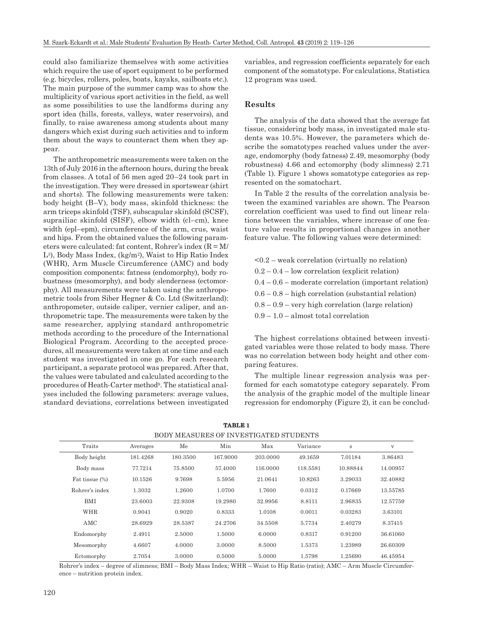could also familiarize themselves with some activities which require the use of sport equipment to be performed (e.g. bicycles, rollers, poles, boats, kayaks, sailboats etc.). The main purpose of the summer camp was to show the multiplicity of various sport activities in the field, as well as some possibilities to use the landforms during any sport idea (hills, forests, valleys, water reservoirs), and finally, to raise awareness among students about many dangers which exist during such activities and to inform them about the ways to counteract them when they appear.

The anthropometric measurements were taken on the 13th of July 2016 in the afternoon hours, during the break from classes. A total of 56 men aged 20–24 took part in the investigation. They were dressed in sportswear (shirt and shorts). The following measurements were taken: body height (B–V), body mass, skinfold thickness: the arm triceps skinfold (TSF), subscapular skinfold (SCSF), suprailiac skinfold (SISF), elbow width (cl–cm), knee width (epl–epm), circumference of the arm, crus, waist and hips. From the obtained values the following parameters were calculated: fat content, Rohrer's index  $(R = M/\sqrt{m})$ L3), Body Mass Index, (kg/m2), Waist to Hip Ratio Index (WHR), Arm Muscle Circumference (AMC) and body composition components: fatness (endomorphy), body robustness (mesomorphy), and body slenderness (ectomorphy). All measurements were taken using the anthropometric tools from Siber Hegner & Co. Ltd (Switzerland): anthropometer, outside caliper, vernier caliper, and anthropometric tape. The measurements were taken by the same researcher, applying standard anthropometric methods according to the procedure of the International Biological Program. According to the accepted procedures, all measurements were taken at one time and each student was investigated in one go. For each research participant, a separate protocol was prepared. After that, the values were tabulated and calculated according to the procedures of Heath-Carter method9. The statistical analyses included the following parameters: average values, standard deviations, correlations between investigated variables, and regression coefficients separately for each component of the somatotype. For calculations, Statistica 12 program was used.

## **Results**

The analysis of the data showed that the average fat tissue, considering body mass, in investigated male students was 10.5%. However, the parameters which describe the somatotypes reached values under the average, endomorphy (body fatness) 2.49, mesomorphy (body robustness) 4.66 and ectomorphy (body slimness) 2.71 (Table 1). Figure 1 shows somatotype categories as represented on the somatochart.

In Table 2 the results of the correlation analysis between the examined variables are shown. The Pearson correlation coefficient was used to find out linear relations between the variables, where increase of one feature value results in proportional changes in another feature value. The following values were determined:

| $\leq 0.2$ – weak correlation (virtually no relation)   |
|---------------------------------------------------------|
| $0.2 - 0.4 - low correlation (explicit relation)$       |
| $0.4 - 0.6$ – moderate correlation (important relation) |
| $0.6 - 0.8$ – high correlation (substantial relation)   |
| $0.8 - 0.9$ – very high correlation (large relation)    |
| $0.9 - 1.0$ – almost total correlation                  |

The highest correlations obtained between investigated variables were those related to body mass. There was no correlation between body height and other comparing features.

The multiple linear regression analysis was performed for each somatotype category separately. From the analysis of the graphic model of the multiple linear regression for endomorphy (Figure 2), it can be conclud-

| Traits         | Averages | Me       | Min      | Max      | Variance | $\mathbf s$ | V        |  |  |  |
|----------------|----------|----------|----------|----------|----------|-------------|----------|--|--|--|
| Body height    | 181.4268 | 180.3500 | 167.9000 | 203.0000 | 49.1659  | 7.01184     | 3.86483  |  |  |  |
| Body mass      | 77.7214  | 75.8500  | 57.4000  | 116,0000 | 118.5581 | 10.88844    | 14.00957 |  |  |  |
| Fat tissue (%) | 10.1526  | 9.7698   | 5.5956   | 21.0641  | 10.8263  | 3.29033     | 32.40882 |  |  |  |
| Rohrer's index | 1.3032   | 1.2600   | 1.0700   | 1.7600   | 0.0312   | 0.17669     | 13.55785 |  |  |  |
| BMI            | 23.6003  | 22.9308  | 19.2980  | 32.9956  | 8.8111   | 2.96835     | 12.57759 |  |  |  |
| <b>WHR</b>     | 0.9041   | 0.9020   | 0.8333   | 1.0108   | 0.0011   | 0.03283     | 3.63101  |  |  |  |
| AMC            | 28.6929  | 28.5387  | 24.2706  | 34.5508  | 5.7734   | 2.40279     | 8.37415  |  |  |  |
| Endomorphy     | 2.4911   | 2.5000   | 1.5000   | 6.0000   | 0.8317   | 0.91200     | 36.61060 |  |  |  |
| Mesomorphy     | 4.6607   | 4.0000   | 3.0000   | 8.5000   | 1.5373   | 1.23989     | 26.60309 |  |  |  |
| Ectomorphy     | 2.7054   | 3.0000   | 0.5000   | 5.0000   | 1.5798   | 1.25690     | 46.45954 |  |  |  |

| <b>TABLE 1</b>                         |
|----------------------------------------|
| BODY MEASURES OF INVESTIGATED STUDENTS |

Rohrer's index – degree of slimness; BMI – Body Mass Index; WHR – Waist to Hip Ratio (ratio); AMC – Arm Muscle Circumference – nutrition protein index.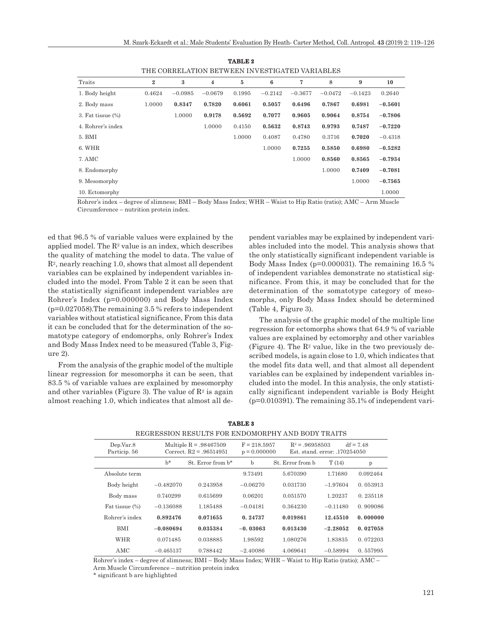| LEB COKKBLATION DETWEBIN INVESTIGATED VAKIADLES |                |           |                         |        |           |           |           |           |           |
|-------------------------------------------------|----------------|-----------|-------------------------|--------|-----------|-----------|-----------|-----------|-----------|
| Traits                                          | $\overline{2}$ | 3         | $\overline{\mathbf{4}}$ | 5      | 6         | 7         | 8         | 9         | 10        |
| 1. Body height                                  | 0.4624         | $-0.0985$ | $-0.0679$               | 0.1995 | $-0.2142$ | $-0.3677$ | $-0.0472$ | $-0.1423$ | 0.2640    |
| 2. Body mass                                    | 1.0000         | 0.8347    | 0.7820                  | 0.6061 | 0.5057    | 0.6496    | 0.7867    | 0.6981    | $-0.5601$ |
| 3. Fat tissue $(\%)$                            |                | 1.0000    | 0.9178                  | 0.5692 | 0.7077    | 0.9605    | 0.9064    | 0.8754    | $-0.7806$ |
| 4. Rohrer's index                               |                |           | 1.0000                  | 0.4150 | 0.5632    | 0.8743    | 0.9793    | 0.7487    | $-0.7220$ |
| 5. BMI                                          |                |           |                         | 1.0000 | 0.4087    | 0.4780    | 0.3716    | 0.7020    | $-0.4318$ |
| 6. WHR                                          |                |           |                         |        | 1.0000    | 0.7255    | 0.5850    | 0.6980    | $-0.5282$ |
| 7. AMC                                          |                |           |                         |        |           | 1.0000    | 0.8560    | 0.8565    | $-0.7934$ |
| 8. Endomorphy                                   |                |           |                         |        |           |           | 1.0000    | 0.7409    | $-0.7081$ |
| 9. Mesomorphy                                   |                |           |                         |        |           |           |           | 1.0000    | $-0.7565$ |
| 10. Ectomorphy                                  |                |           |                         |        |           |           |           |           | 1.0000    |

**TABLE 2** THE CORRELATION BETWEEN INVESTIGATED VARIABLES

Rohrer's index – degree of slimness; BMI – Body Mass Index; WHR – Waist to Hip Ratio (ratio); AMC – Arm Muscle Circumference – nutrition protein index.

ed that 96.5 % of variable values were explained by the applied model. The  $\mathbb{R}^2$  value is an index, which describes the quality of matching the model to data. The value of  $R<sup>2</sup>$ , nearly reaching 1.0, shows that almost all dependent variables can be explained by independent variables included into the model. From Table 2 it can be seen that the statistically significant independent variables are Rohrer's Index (p=0.000000) and Body Mass Index  $(p=0.027058)$ . The remaining 3.5 % refers to independent variables without statistical significance, From this data it can be concluded that for the determination of the somatotype category of endomorphs, only Rohrer's Index and Body Mass Index need to be measured (Table 3, Figure 2).

From the analysis of the graphic model of the multiple linear regression for mesomorphs it can be seen, that 83.5 % of variable values are explained by mesomorphy and other variables (Figure 3). The value of  $\mathbb{R}^2$  is again almost reaching 1.0, which indicates that almost all de-

pendent variables may be explained by independent variables included into the model. This analysis shows that the only statistically significant independent variable is Body Mass Index (p=0.000031). The remaining 16.5 % of independent variables demonstrate no statistical significance. From this, it may be concluded that for the determination of the somatotype category of mesomorphs, only Body Mass Index should be determined (Table 4, Figure 3).

The analysis of the graphic model of the multiple line regression for ectomorphs shows that 64.9 % of variable values are explained by ectomorphy and other variables (Figure 4). The  $\mathbb{R}^2$  value, like in the two previously described models, is again close to 1.0, which indicates that the model fits data well, and that almost all dependent variables can be explained by independent variables included into the model. In this analysis, the only statistically significant independent variable is Body Height (p=0.010391). The remaining 35.1% of independent vari-

| Dep.Var.8<br>Particip. 56 | Multiple $R = .98467509$<br>Correct. $R2 = .96514951$ |                     | $F = 218.5957$<br>$p = 0.000000$ |                  | $df = 7.48$<br>$R^2 = .96958503$<br>Est. stand. error: .170254050 |          |
|---------------------------|-------------------------------------------------------|---------------------|----------------------------------|------------------|-------------------------------------------------------------------|----------|
|                           | $h^*$                                                 | $St. Error from h*$ | $\mathbf b$                      | St. Error from b | T(14)                                                             | p        |
| Absolute term             |                                                       |                     | 9.73491                          | 5.670390         | 1.71680                                                           | 0.092464 |
| Body height               | $-0.482070$                                           | 0.243958            | $-0.06270$                       | 0.031730         | $-1.97604$                                                        | 0.053913 |
| Body mass                 | 0.740299                                              | 0.615699            | 0.06201                          | 0.051570         | 1.20237                                                           | 0.235118 |
| Fat tissue (%)            | $-0.136088$                                           | 1.185488            | $-0.04181$                       | 0.364230         | $-0.11480$                                                        | 0.909086 |
| Rohrer's index            | 0.892476                                              | 0.071655            | 0.24737                          | 0.019861         | 12.45510                                                          | 0.000000 |
| <b>BMI</b>                | $-0.080694$                                           | 0.035384            | $-0.03063$                       | 0.013430         | $-2.28052$                                                        | 0.027058 |
| <b>WHR</b>                | 0.071485                                              | 0.038885            | 1.98592                          | 1.080276         | 1.83835                                                           | 0.072203 |
| AMC                       | $-0.465137$                                           | 0.788442            | $-2.40086$                       | 4.069641         | $-0.58994$                                                        | 0.557995 |

**TABLE 3** REGRESSION RESULTS FOR ENDOMORPHY AND BODY TRAITS

Rohrer's index – degree of slimness; BMI – Body Mass Index; WHR – Waist to Hip Ratio (ratio); AMC – Arm Muscle Circumference – nutrition protein index

\* significant b are highlighted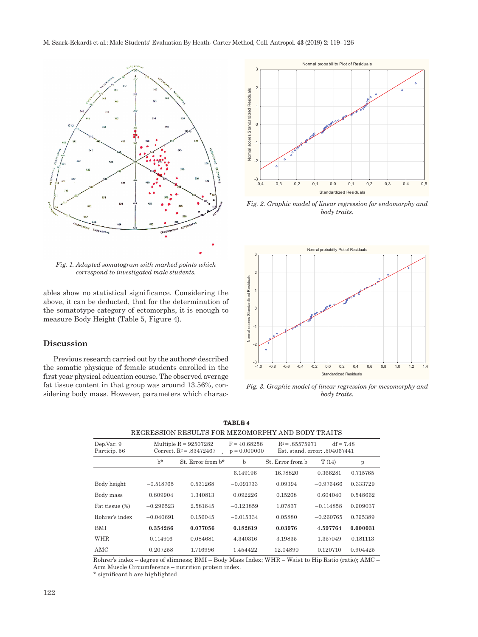

*Fig. 1. Adapted somatogram with marked points which correspond to investigated male students.*

ables show no statistical significance. Considering the above, it can be deducted, that for the determination of the somatotype category of ectomorphs, it is enough to measure Body Height (Table 5, Figure 4).

## **Discussion**

Previous research carried out by the authors<sup>8</sup> described the somatic physique of female students enrolled in the first year physical education course. The observed average fat tissue content in that group was around 13.56%, considering body mass. However, parameters which charac-



*Fig. 2. Graphic model of linear regression for endomorphy and body traits.*



*Fig. 3. Graphic model of linear regression for mesomorphy and body traits.*

| Dep.Var. 9<br>Particip. 56 |             | Multiple $R = 92507282$<br>Correct, $R^2 = .83472467$ | $F = 40.68258$<br>$p = 0.000000$ | $R^2 = .85575971$ | $df = 7.48$<br>Est. stand. error: .504067441 |          |  |
|----------------------------|-------------|-------------------------------------------------------|----------------------------------|-------------------|----------------------------------------------|----------|--|
|                            | $h^*$       | St. Error from b*                                     | $\mathbf b$                      | St. Error from b  | T(14)                                        | p        |  |
|                            |             |                                                       | 6.149196                         | 16.78820          | 0.366281                                     | 0.715765 |  |
| Body height                | $-0.518765$ | 0.531268                                              | $-0.091733$                      | 0.09394           | $-0.976466$                                  | 0.333729 |  |
| Body mass                  | 0.809904    | 1.340813                                              | 0.092226                         | 0.15268           | 0.604040                                     | 0.548662 |  |
| Fat tissue (%)             | $-0.296523$ | 2.581645                                              | $-0.123859$                      | 1.07837           | $-0.114858$                                  | 0.909037 |  |
| Rohrer's index             | $-0.040691$ | 0.156045                                              | $-0.015334$                      | 0.05880           | $-0.260765$                                  | 0.795389 |  |
| <b>BMI</b>                 | 0.354286    | 0.077056                                              | 0.182819                         | 0.03976           | 4.597764                                     | 0.000031 |  |
| <b>WHR</b>                 | 0.114916    | 0.084681                                              | 4.340316                         | 3.19835           | 1.357049                                     | 0.181113 |  |
| AMC                        | 0.207258    | 1.716996                                              | 1.454422                         | 12.04890          | 0.120710                                     | 0.904425 |  |

**TABLE 4** REGRESSION RESULTS FOR MEZOMORPHY AND BODY TRAITS

Rohrer's index – degree of slimness; BMI – Body Mass Index; WHR – Waist to Hip Ratio (ratio); AMC – Arm Muscle Circumference – nutrition protein index.

\* significant b are highlighted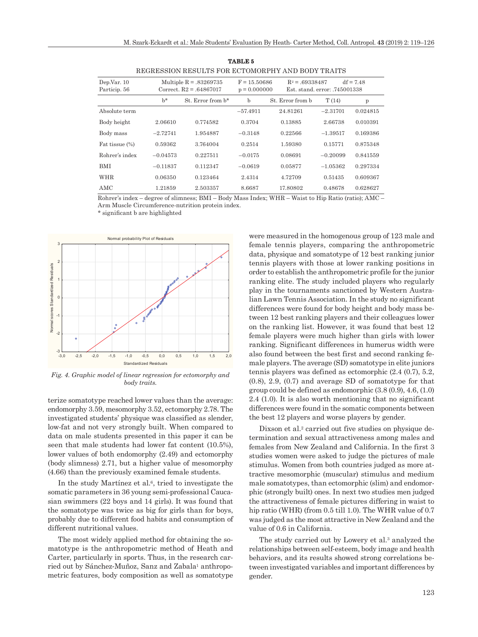| REGRESSION RESULTS FOR ECTOMORPHY AND BODY TRAITS |            |                                                        |            |                                                       |            |                                              |  |  |  |
|---------------------------------------------------|------------|--------------------------------------------------------|------------|-------------------------------------------------------|------------|----------------------------------------------|--|--|--|
| Dep.Var. 10<br>Particip. 56                       |            | Multiple $R = 0.83269735$<br>Correct. $R2 = .64867017$ |            | $F = 15.50686$<br>$R^2 = .69338487$<br>$p = 0.000000$ |            | $df = 7.48$<br>Est. stand. error: .745001338 |  |  |  |
|                                                   | $h^*$      | St. Error from b*                                      | b          | St. Error from b                                      | T(14)      | $\mathbf{p}$                                 |  |  |  |
| Absolute term                                     |            |                                                        | $-57.4911$ | 24.81261                                              | $-2.31701$ | 0.024815                                     |  |  |  |
| Body height                                       | 2.06610    | 0.774582                                               | 0.3704     | 0.13885                                               | 2.66738    | 0.010391                                     |  |  |  |
| Body mass                                         | $-2.72741$ | 1.954887                                               | $-0.3148$  | 0.22566                                               | $-1.39517$ | 0.169386                                     |  |  |  |
| Fat tissue (%)                                    | 0.59362    | 3.764004                                               | 0.2514     | 1.59380                                               | 0.15771    | 0.875348                                     |  |  |  |
| Rohrer's index                                    | $-0.04573$ | 0.227511                                               | $-0.0175$  | 0.08691                                               | $-0.20099$ | 0.841559                                     |  |  |  |
| <b>BMI</b>                                        | $-0.11837$ | 0.112347                                               | $-0.0619$  | 0.05877                                               | $-1.05362$ | 0.297334                                     |  |  |  |
| WHR                                               | 0.06350    | 0.123464                                               | 2.4314     | 4.72709                                               | 0.51435    | 0.609367                                     |  |  |  |
| AMC.                                              | 1.21859    | 2.503357                                               | 8.6687     | 17.80802                                              | 0.48678    | 0.628627                                     |  |  |  |

**TABLE 5** REGRESSION RESULTS FOR ECTOMORPHY AND BODY TRAITS

Rohrer's index – degree of slimness; BMI – Body Mass Index; WHR – Waist to Hip Ratio (ratio); AMC – Arm Muscle Circumference-nutrition protein index.

\* significant b are highlighted



*Fig. 4. Graphic model of linear regression for ectomorphy and body traits.*

terize somatotype reached lower values than the average: endomorphy 3.59, mesomorphy 3.52, ectomorphy 2.78. The investigated students' physique was classified as slender, low-fat and not very strongly built. When compared to data on male students presented in this paper it can be seen that male students had lower fat content (10.5%), lower values of both endomorphy (2.49) and ectomorphy (body slimness) 2.71, but a higher value of mesomorphy (4.66) than the previously examined female students.

In the study Martínez et al.<sup>6</sup>, tried to investigate the somatic parameters in 36 young semi-professional Caucasian swimmers (22 boys and 14 girls). It was found that the somatotype was twice as big for girls than for boys, probably due to different food habits and consumption of different nutritional values.

The most widely applied method for obtaining the somatotype is the anthropometric method of Heath and Carter, particularly in sports. Thus, in the research car-ried out by [Sánchez](https://www.ncbi.nlm.nih.gov/pubmed/?term=SanchezMunoz C%5BAuthor%5D&cauthor=true&cauthor_uid=17957016)-Muñoz, [Sanz](https://www.ncbi.nlm.nih.gov/pubmed/?term=Sanz D%5BAuthor%5D&cauthor=true&cauthor_uid=17957016) and Zabala<sup>1</sup> anthropometric features, body composition as well as somatotype were measured in the homogenous group of 123 male and female tennis players, comparing the anthropometric data, physique and somatotype of 12 best ranking junior tennis players with those at lower ranking positions in order to establish the anthropometric profile for the junior ranking elite. The study included players who regularly play in the tournaments sanctioned by Western Australian Lawn Tennis Association. In the study no significant differences were found for body height and body mass between 12 best ranking players and their colleagues lower on the ranking list. However, it was found that best 12 female players were much higher than girls with lower ranking. Significant differences in humerus width were also found between the best first and second ranking female players. The average (SD) somatotype in elite juniors tennis players was defined as ectomorphic (2.4 (0.7), 5.2, (0.8), 2.9, (0.7) and average SD of somatotype for that group could be defined as endomorphic (3.8 (0.9), 4.6, (1.0) 2.4 (1.0). It is also worth mentioning that no significant differences were found in the somatic components between the best 12 players and worse players by gender.

Dixson et al.<sup>2</sup> carried out five studies on physique determination and sexual attractiveness among males and females from New Zealand and California. In the first 3 studies women were asked to judge the pictures of male stimulus. Women from both countries judged as more attractive mesomorphic (muscular) stimulus and medium male somatotypes, than ectomorphic (slim) and endomorphic (strongly built) ones. In next two studies men judged the attractiveness of female pictures differing in waist to hip ratio (WHR) (from 0.5 till 1.0). The WHR value of 0.7 was judged as the most attractive in New Zealand and the value of 0.6 in California.

The study carried out by Lowery et al.<sup>3</sup> analyzed the relationships between self-esteem, body image and health behaviors, and its results showed strong correlations between investigated variables and important differences by gender.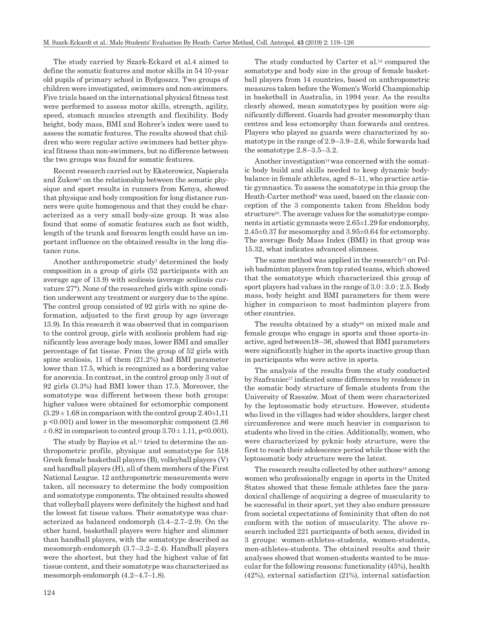The study carried by Szark-Eckard et al.4 aimed to define the somatic features and motor skills in 54 10-year old pupils of primary school in Bydgoszcz. Two groups of children were investigated, swimmers and non-swimmers. Five trials based on the international physical fitness test were performed to assess motor skills, strength, agility, speed, stomach muscles strength and flexibility. Body height, body mass, BMI and Rohrer's index were used to assess the somatic features. The results showed that children who were regular active swimmers had better physical fitness than non-swimmers, but no difference between the two groups was found for somatic features.

Recent research carried out by Eksterowicz, Napierała and Zukow<sup>5</sup> on the relationship between the somatic physique and sport results in runners from Kenya, showed that physique and body composition for long distance runners were quite homogenous and that they could be characterized as a very small body-size group. It was also found that some of somatic features such as foot width, length of the trunk and forearm length could have an important influence on the obtained results in the long distance runs.

Another anthropometric study<sup>7</sup> determined the body composition in a group of girls (52 participants with an average age of 13.9) with scoliosis (average scoliosis curvature 27°). None of the researched girls with spine condition underwent any treatment or surgery due to the spine. The control group consisted of 92 girls with no spine deformation, adjusted to the first group by age (average 13.9). In this research it was observed that in comparison to the control group, girls with scoliosis problem had significantly less average body mass, lower BMI and smaller percentage of fat tissue. From the group of 52 girls with spine scoliosis, 11 of them (21.2%) had BMI parameter lower than 17.5, which is recognized as a bordering value for anorexia. In contrast, in the control group only 3 out of 92 girls (3.3%) had BMI lower than 17.5. Moreover, the somatotype was different between these both groups: higher values were obtained for ectomorphic component  $(3.29 \pm 1.68)$  in comparison with the control group  $2.40 \pm 1.11$ p <0.001) and lower in the mesomorphic component (2.86  $\pm 0.82$  in comparison to control group  $3.70 \pm 1.11$ , p<0.001).

The study by Bayios et al.<sup>11</sup> tried to determine the anthropometric profile, physique and somatotype for 518 Greek female basketball players (B), volleyball players (V) and handball players (H), all of them members of the First National League. 12 anthropometric measurements were taken, all necessary to determine the body composition and somatotype components. The obtained results showed that volleyball players were definitely the highest and had the lowest fat tissue values. Their somatotype was characterized as balanced endomorph (3.4–2.7–2.9). On the other hand, basketball players were higher and slimmer than handball players, with the somatotype described as mesomorph-endomorph (3.7–3.2–2.4). Handball players were the shortest, but they had the highest value of fat tissue content, and their somatotype was characterized as mesomorph-endomorph (4.2–4.7–1.8).

The study conducted by Carter et al.<sup>12</sup> compared the somatotype and body size in the group of female basketball players from 14 countries, based on anthropometric measures taken before the Women's World Championship in basketball in Australia, in 1994 year. As the results clearly showed, mean somatotypes by position were significantly different. Guards had greater mesomorphy than centres and less ectomorphy than forwards and centres. Players who played as guards were characterized by somatotype in the range of 2.9–3.9–2.6, while forwards had the somatotype 2.8–3.5–3.2.

Another investigation $14$  was concerned with the somatic body build and skills needed to keep dynamic bodybalance in female athletes, aged 8–11, who practice artistic gymnastics. To assess the somatotype in this group the Heath-Carter method<sup>9</sup> was used, based on the classic conception of the 3 components taken from Sheldon body structure<sup>10</sup>. The average values for the somatotype components in artistic gymnasts were 2.65±1.29 for endomorphy, 2.45±0.37 for mesomorphy and 3.95±0.64 for ectomorphy. The average Body Mass Index (BMI) in that group was 15.32, what indicates advanced slimness.

The same method was applied in the research<sup>15</sup> on Polish badminton players from top rated teams, which showed that the somatotype which characterized this group of sport players had values in the range of 3.0 : 3.0 : 2.5. Body mass, body height and BMI parameters for them were higher in comparison to most badminton players from other countries.

The results obtained by a study<sup>16</sup> on mixed male and female groups who engage in sports and those sports-inactive, aged between18–36, showed that BMI parameters were significantly higher in the sports inactive group than in participants who were active in sports.

The analysis of the results from the study conducted by Szafraniec<sup>17</sup> indicated some differences by residence in the somatic body structure of female students from the University of Rzeszów. Most of them were characterized by the leptosomatic body structure. However, students who lived in the villages had wider shoulders, larger chest circumference and were much heavier in comparison to students who lived in the cities. Additionally, women, who were characterized by pyknic body structure, were the first to reach their adolescence period while those with the leptosomatic body structure were the latest.

The research results collected by other authors<sup>18</sup> among women who professionally engage in sports in the United States showed that these female athletes face the paradoxical challenge of acquiring a degree of muscularity to be successful in their sport, yet they also endure pressure from societal expectations of femininity that often do not conform with the notion of muscularity. The above research included 221 participants of both sexes, divided in 3 groups: women-athletes-students, women-students, men-athletes-students. The obtained results and their analyses showed that women-students wanted to be muscular for the following reasons: functionality (45%), health (42%), external satisfaction (21%), internal satisfaction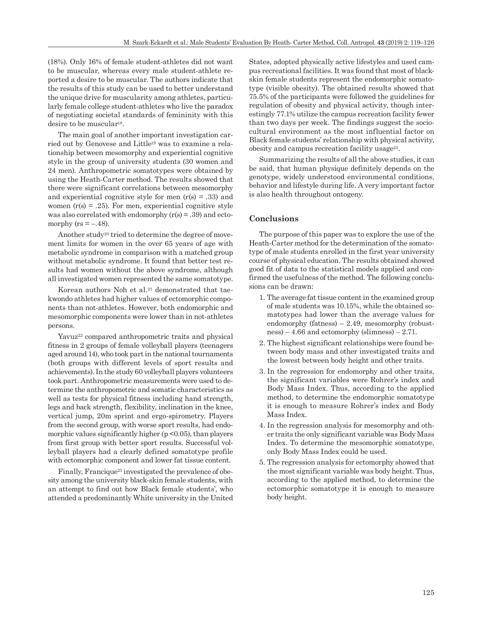(18%). Only 16% of female student-athletes did not want to be muscular, whereas every male student-athlete reported a desire to be muscular. The authors indicate that the results of this study can be used to better understand the unique drive for muscularity among athletes, particularly female college student-athletes who live the paradox of negotiating societal standards of femininity with this desire to be muscular<sup>18</sup>.

The main goal of another important investigation carried out by Genovese and Little19 was to examine a relationship between mesomorphy and experiential cognitive style in the group of university students (30 women and 24 men). Anthropometric somatotypes were obtained by using the Heath-Carter method. The results showed that there were significant correlations between mesomorphy and experiential cognitive style for men  $(r(s) = .33)$  and women  $(r(s) = .25)$ . For men, experiential cognitive style was also correlated with endomorphy  $(r(s) = .39)$  and ectomorphy ( $rs = -.48$ ).

Another study20 tried to determine the degree of movement limits for women in the over 65 years of age with metabolic syndrome in comparison with a matched group without metabolic syndrome. It found that better test results had women without the above syndrome, although all investigated women represented the same somatotype.

Korean authors Noh et al.<sup>21</sup> demonstrated that taekwondo athletes had higher values of ectomorphic components than not-athletes. However, both endomorphic and mesomorphic components were lower than in not-athletes persons.

Yavuz<sup>22</sup> compared anthropometric traits and physical fitness in 2 groups of female volleyball players (teenagers aged around 14), who took part in the national tournaments (both groups with different levels of sport results and achievements). In the study 60 volleyball players volunteers took part. Anthropometric measurements were used to determine the anthropometric and somatic characteristics as well as tests for physical fitness including hand strength, legs and back strength, flexibility, inclination in the knee, vertical jump, 20m sprint and ergo-spirometry. Players from the second group, with worse sport results, had endomorphic values significantly higher  $(p < 0.05)$ , than players from first group with better sport results. Successful volleyball players had a clearly defined somatotype profile with ectomorphic component and lower fat tissue content.

Finally, [Francique](http://www.tandfonline.com/author/Carter-Francique%2C+Akilah+R)<sup>23</sup> investigated the prevalence of obesity among the university black-skin female students, with an attempt to find out how Black female students', who attended a predominantly White university in the United States, adopted physically active lifestyles and used campus recreational facilities. It was found that most of blackskin female students represent the endomorphic somatotype (visible obesity). The obtained results showed that 75.5% of the participants were followed the guidelines for regulation of obesity and physical activity, though interestingly 77.1% utilize the campus recreation facility fewer than two days per week. The findings suggest the sociocultural environment as the most influential factor on Black female students' relationship with physical activity, obesity and campus recreation facility usage23.

Summarizing the results of all the above studies, it can be said, that human physique definitely depends on the genotype, widely understood environmental conditions, behavior and lifestyle during life. A very important factor is also health throughout ontogeny.

#### **Conclusions**

The purpose of this paper was to explore the use of the Heath-Carter method for the determination of the somatotype of male students enrolled in the first year university course of physical education. The results obtained showed good fit of data to the statistical models applied and confirmed the usefulness of the method. The following conclusions can be drawn:

- 1. The average fat tissue content in the examined group of male students was 10.15%, while the obtained somatotypes had lower than the average values for endomorphy (fatness)  $-2.49$ , mesomorphy (robustness) – 4.66 and ectomorphy (slimness) –  $2.71$ .
- 2. The highest significant relationships were found between body mass and other investigated traits and the lowest between body height and other traits.
- 3. In the regression for endomorphy and other traits, the significant variables were Rohrer's index and Body Mass Index. Thus, according to the applied method, to determine the endomorphic somatotype it is enough to measure Rohrer's index and Body Mass Index.
- 4. In the regression analysis for mesomorphy and other traits the only significant variable was Body Mass Index. To determine the mesomorphic somatotype, only Body Mass Index could be used.
- 5. The regression analysis for ectomorphy showed that the most significant variable was body height. Thus, according to the applied method, to determine the ectomorphic somatotype it is enough to measure body height.